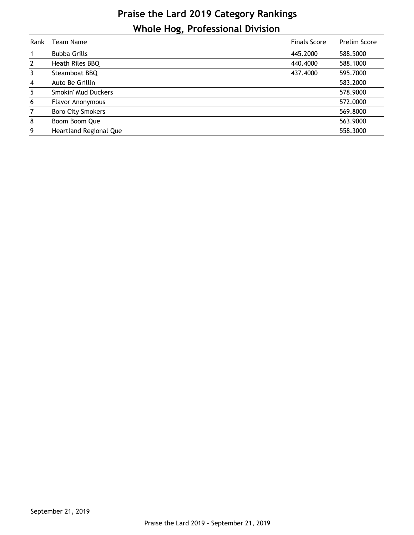## **Praise the Lard 2019 Category Rankings Whole Hog, Professional Division**

| Rank         | Team Name                | <b>Finals Score</b> | Prelim Score |
|--------------|--------------------------|---------------------|--------------|
|              | <b>Bubba Grills</b>      | 445,2000            | 588.5000     |
| $\mathbf{2}$ | Heath Riles BBQ          | 440.4000            | 588.1000     |
| 3            | Steamboat BBQ            | 437.4000            | 595.7000     |
| 4            | Auto Be Grillin          |                     | 583.2000     |
| 5            | Smokin' Mud Duckers      |                     | 578.9000     |
| 6            | Flavor Anonymous         |                     | 572.0000     |
| 7            | <b>Boro City Smokers</b> |                     | 569.8000     |
| 8            | Boom Boom Que            |                     | 563.9000     |
| 9            | Heartland Regional Que   |                     | 558.3000     |
|              |                          |                     |              |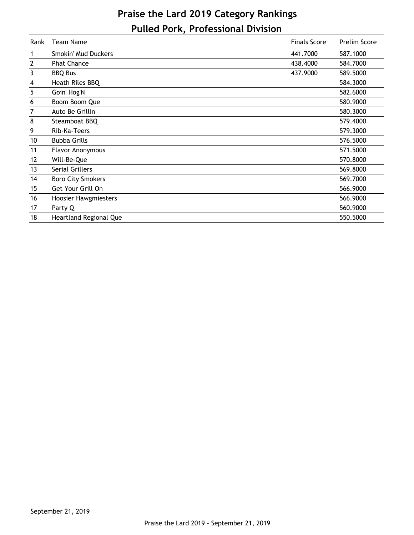## **Praise the Lard 2019 Category Rankings Pulled Pork, Professional Division**

| Rank | <b>Team Name</b>         | <b>Finals Score</b> | <b>Prelim Score</b> |
|------|--------------------------|---------------------|---------------------|
| 1    | Smokin' Mud Duckers      | 441.7000            | 587.1000            |
| 2    | <b>Phat Chance</b>       | 438.4000            | 584.7000            |
| 3    | <b>BBQ Bus</b>           | 437.9000            | 589.5000            |
| 4    | Heath Riles BBQ          |                     | 584.3000            |
| 5    | Goin' Hog'N              |                     | 582.6000            |
| 6    | Boom Boom Que            |                     | 580.9000            |
| 7    | Auto Be Grillin          |                     | 580.3000            |
| 8    | Steamboat BBQ            |                     | 579.4000            |
| 9    | Rib-Ka-Teers             |                     | 579.3000            |
| 10   | <b>Bubba Grills</b>      |                     | 576.5000            |
| 11   | <b>Flavor Anonymous</b>  |                     | 571.5000            |
| 12   | Will-Be-Que              |                     | 570.8000            |
| 13   | Serial Grillers          |                     | 569.8000            |
| 14   | <b>Boro City Smokers</b> |                     | 569.7000            |
| 15   | Get Your Grill On        |                     | 566.9000            |
| 16   | Hoosier Hawgmiesters     |                     | 566.9000            |
| 17   | Party Q                  |                     | 560.9000            |
| 18   | Heartland Regional Que   |                     | 550.5000            |